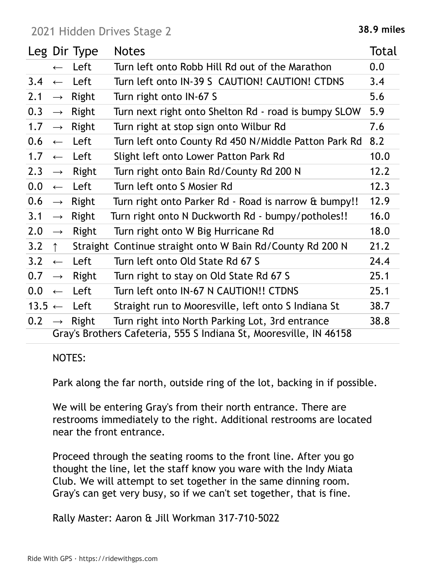2021 Hidden Drives Stage 2 and 2021 Hidden Drives Stage 2

|                   |                                                                    | Leg Dir Type      | <b>Notes</b>                                              | Total |  |  |
|-------------------|--------------------------------------------------------------------|-------------------|-----------------------------------------------------------|-------|--|--|
|                   | $\leftarrow$                                                       | Left              | Turn left onto Robb Hill Rd out of the Marathon           | 0.0   |  |  |
| 3.4               | $\leftarrow$                                                       | Left              | Turn left onto IN-39 S CAUTION! CAUTION! CTDNS            | 3.4   |  |  |
| 2.1               | $\rightarrow$                                                      | Right             | Turn right onto IN-67 S                                   | 5.6   |  |  |
| 0.3               | $\longrightarrow$                                                  | Right             | Turn next right onto Shelton Rd - road is bumpy SLOW      | 5.9   |  |  |
| 1.7               | $\rightarrow$                                                      | Right             | Turn right at stop sign onto Wilbur Rd                    | 7.6   |  |  |
| 0.6               | $\leftarrow$                                                       | Left              | Turn left onto County Rd 450 N/Middle Patton Park Rd      | 8.2   |  |  |
| 1.7               |                                                                    | $\leftarrow$ Left | Slight left onto Lower Patton Park Rd                     | 10.0  |  |  |
| 2.3               | $\rightarrow$                                                      | Right             | Turn right onto Bain Rd/County Rd 200 N                   | 12.2  |  |  |
| 0.0               | $\leftarrow$                                                       | Left              | Turn left onto S Mosier Rd                                | 12.3  |  |  |
| 0.6               | $\longrightarrow$                                                  | Right             | Turn right onto Parker Rd - Road is narrow & bumpy!!      | 12.9  |  |  |
| 3.1               | $\rightarrow$                                                      | Right             | Turn right onto N Duckworth Rd - bumpy/potholes!!         | 16.0  |  |  |
| 2.0               | $\longrightarrow$                                                  | Right             | Turn right onto W Big Hurricane Rd                        | 18.0  |  |  |
| 3.2               | $\uparrow$                                                         |                   | Straight Continue straight onto W Bain Rd/County Rd 200 N | 21.2  |  |  |
| 3.2               | $\leftarrow$                                                       | Left              | Turn left onto Old State Rd 67 S                          | 24.4  |  |  |
| 0.7               | $\longrightarrow$                                                  | Right             | Turn right to stay on Old State Rd 67 S                   | 25.1  |  |  |
| 0.0               | $\leftarrow$                                                       | Left              | Turn left onto IN-67 N CAUTION!! CTDNS                    | 25.1  |  |  |
| $13.5 \leftarrow$ |                                                                    | Left              | Straight run to Mooresville, left onto S Indiana St       | 38.7  |  |  |
| 0.2               | $\rightarrow$                                                      | Right             | Turn right into North Parking Lot, 3rd entrance           | 38.8  |  |  |
|                   | Gray's Brothers Cafeteria, 555 S Indiana St, Mooresville, IN 46158 |                   |                                                           |       |  |  |

## NOTES:

Park along the far north, outside ring of the lot, backing in if possible.

We will be entering Gray's from their north entrance. There are restrooms immediately to the right. Additional restrooms are located near the front entrance.

Proceed through the seating rooms to the front line. After you go thought the line, let the staff know you ware with the Indy Miata Club. We will attempt to set together in the same dinning room. Gray's can get very busy, so if we can't set together, that is fine.

Rally Master: Aaron & Jill Workman 317-710-5022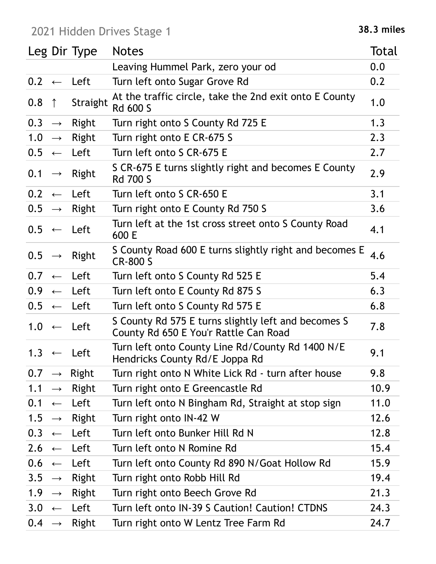## 2021 Hidden Drives Stage 1 **38.3 miles**

|                   |                   | Leg Dir Type          | <b>Notes</b>                                                                                 | Total |
|-------------------|-------------------|-----------------------|----------------------------------------------------------------------------------------------|-------|
|                   |                   |                       | Leaving Hummel Park, zero your od                                                            | 0.0   |
|                   |                   | $0.2 \leftarrow$ Left | Turn left onto Sugar Grove Rd                                                                | 0.2   |
| 0.8               | $\uparrow$        | Straight              | At the traffic circle, take the 2nd exit onto E County<br><b>Rd 600 S</b>                    | 1.0   |
| 0.3               | $\longrightarrow$ | <b>Right</b>          | Turn right onto S County Rd 725 E                                                            | 1.3   |
| 1.0               | $\longrightarrow$ | Right                 | Turn right onto E CR-675 S                                                                   | 2.3   |
|                   |                   | $0.5 \leftarrow$ Left | Turn left onto S CR-675 E                                                                    | 2.7   |
| 0.1               | $\longrightarrow$ | <b>Right</b>          | S CR-675 E turns slightly right and becomes E County<br><b>Rd 700 S</b>                      | 2.9   |
| 0.2               |                   | $\leftarrow$ Left     | Turn left onto S CR-650 E                                                                    | 3.1   |
| $0.5 \rightarrow$ |                   | Right                 | Turn right onto E County Rd 750 S                                                            | 3.6   |
|                   |                   | $0.5 \leftarrow$ Left | Turn left at the 1st cross street onto S County Road<br>600 E                                | 4.1   |
| $0.5 \rightarrow$ |                   | Right                 | S County Road 600 E turns slightly right and becomes E<br><b>CR-800 S</b>                    | 4.6   |
| 0.7               |                   | $\leftarrow$ Left     | Turn left onto S County Rd 525 E                                                             | 5.4   |
| 0.9 <sub>2</sub>  |                   | $\leftarrow$ Left     | Turn left onto E County Rd 875 S                                                             | 6.3   |
|                   |                   | $0.5 \leftarrow$ Left | Turn left onto S County Rd 575 E                                                             | 6.8   |
|                   |                   | $1.0 \leftarrow$ Left | S County Rd 575 E turns slightly left and becomes S<br>County Rd 650 E You'r Rattle Can Road | 7.8   |
|                   |                   | $1.3 \leftarrow$ Left | Turn left onto County Line Rd/County Rd 1400 N/E<br>Hendricks County Rd/E Joppa Rd           | 9.1   |
| 0.7               |                   | $\rightarrow$ Right   | Turn right onto N White Lick Rd - turn after house                                           | 9.8   |
| 1.1               | $\longrightarrow$ | <b>Right</b>          | Turn right onto E Greencastle Rd                                                             | 10.9  |
| 0.1               | $\leftarrow$      | Left                  | Turn left onto N Bingham Rd, Straight at stop sign                                           | 11.0  |
| 1.5               | $\rightarrow$     | Right                 | Turn right onto IN-42 W                                                                      | 12.6  |
| 0.3               | $\leftarrow$      | Left                  | Turn left onto Bunker Hill Rd N                                                              | 12.8  |
|                   |                   | $2.6 \leftarrow$ Left | Turn left onto N Romine Rd                                                                   | 15.4  |
| 0.6               | $\leftarrow$      | Left                  | Turn left onto County Rd 890 N/Goat Hollow Rd                                                | 15.9  |
| 3.5               | $\rightarrow$     | Right                 | Turn right onto Robb Hill Rd                                                                 | 19.4  |
| 1.9               | $\rightarrow$     | <b>Right</b>          | Turn right onto Beech Grove Rd                                                               | 21.3  |
|                   |                   | $3.0 \leftarrow$ Left | Turn left onto IN-39 S Caution! Caution! CTDNS                                               | 24.3  |
| $0.4 \rightarrow$ |                   | Right                 | Turn right onto W Lentz Tree Farm Rd                                                         | 24.7  |